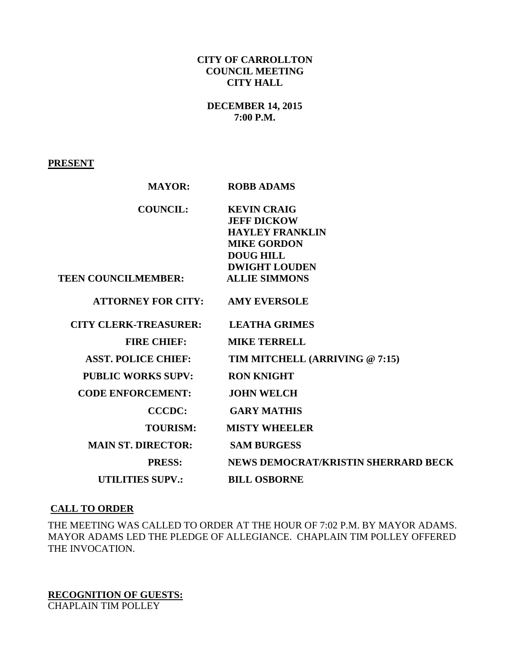## **CITY OF CARROLLTON COUNCIL MEETING CITY HALL**

## **DECEMBER 14, 2015 7:00 P.M.**

### **PRESENT**

| <b>MAYOR:</b>                          | <b>ROBB ADAMS</b>                   |
|----------------------------------------|-------------------------------------|
| <b>COUNCIL:</b>                        | <b>KEVIN CRAIG</b>                  |
|                                        | <b>JEFF DICKOW</b>                  |
|                                        | <b>HAYLEY FRANKLIN</b>              |
|                                        | <b>MIKE GORDON</b>                  |
|                                        | <b>DOUG HILL</b>                    |
|                                        | <b>DWIGHT LOUDEN</b>                |
| <b>TEEN COUNCILMEMBER:</b>             | <b>ALLIE SIMMONS</b>                |
| <b>ATTORNEY FOR CITY: AMY EVERSOLE</b> |                                     |
| <b>CITY CLERK-TREASURER:</b>           | <b>LEATHA GRIMES</b>                |
| <b>FIRE CHIEF:</b>                     | <b>MIKE TERRELL</b>                 |
| <b>ASST. POLICE CHIEF:</b>             | TIM MITCHELL (ARRIVING @ 7:15)      |
| <b>PUBLIC WORKS SUPV:</b>              | <b>RON KNIGHT</b>                   |
| <b>CODE ENFORCEMENT:</b>               | <b>JOHN WELCH</b>                   |
| <b>CCCDC:</b>                          | <b>GARY MATHIS</b>                  |
| <b>TOURISM:</b>                        | <b>MISTY WHEELER</b>                |
| <b>MAIN ST. DIRECTOR:</b>              | <b>SAM BURGESS</b>                  |
| <b>PRESS:</b>                          | NEWS DEMOCRAT/KRISTIN SHERRARD BECK |
| <b>UTILITIES SUPV.:</b>                | <b>BILL OSBORNE</b>                 |

### **CALL TO ORDER**

THE MEETING WAS CALLED TO ORDER AT THE HOUR OF 7:02 P.M. BY MAYOR ADAMS. MAYOR ADAMS LED THE PLEDGE OF ALLEGIANCE. CHAPLAIN TIM POLLEY OFFERED THE INVOCATION.

**RECOGNITION OF GUESTS:** CHAPLAIN TIM POLLEY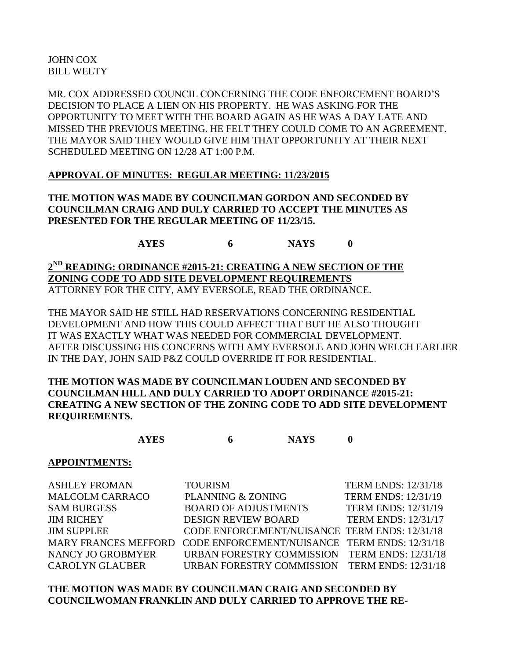JOHN COX BILL WELTY

MR. COX ADDRESSED COUNCIL CONCERNING THE CODE ENFORCEMENT BOARD'S DECISION TO PLACE A LIEN ON HIS PROPERTY. HE WAS ASKING FOR THE OPPORTUNITY TO MEET WITH THE BOARD AGAIN AS HE WAS A DAY LATE AND MISSED THE PREVIOUS MEETING. HE FELT THEY COULD COME TO AN AGREEMENT. THE MAYOR SAID THEY WOULD GIVE HIM THAT OPPORTUNITY AT THEIR NEXT SCHEDULED MEETING ON 12/28 AT 1:00 P.M.

## **APPROVAL OF MINUTES: REGULAR MEETING: 11/23/2015**

**THE MOTION WAS MADE BY COUNCILMAN GORDON AND SECONDED BY COUNCILMAN CRAIG AND DULY CARRIED TO ACCEPT THE MINUTES AS PRESENTED FOR THE REGULAR MEETING OF 11/23/15.**

**AYES 6 NAYS 0**

**2 ND READING: ORDINANCE #2015-21: CREATING A NEW SECTION OF THE ZONING CODE TO ADD SITE DEVELOPMENT REQUIREMENTS** ATTORNEY FOR THE CITY, AMY EVERSOLE, READ THE ORDINANCE.

THE MAYOR SAID HE STILL HAD RESERVATIONS CONCERNING RESIDENTIAL DEVELOPMENT AND HOW THIS COULD AFFECT THAT BUT HE ALSO THOUGHT IT WAS EXACTLY WHAT WAS NEEDED FOR COMMERCIAL DEVELOPMENT. AFTER DISCUSSING HIS CONCERNS WITH AMY EVERSOLE AND JOHN WELCH EARLIER IN THE DAY, JOHN SAID P&Z COULD OVERRIDE IT FOR RESIDENTIAL.

**THE MOTION WAS MADE BY COUNCILMAN LOUDEN AND SECONDED BY COUNCILMAN HILL AND DULY CARRIED TO ADOPT ORDINANCE #2015-21: CREATING A NEW SECTION OF THE ZONING CODE TO ADD SITE DEVELOPMENT REQUIREMENTS.**

**AYES 6 NAYS 0**

#### **APPOINTMENTS:**

ASHLEY FROMAN TOURISM TERM ENDS: 12/31/18 MALCOLM CARRACO PLANNING & ZONING TERM ENDS: 12/31/19 SAM BURGESS BOARD OF ADJUSTMENTS TERM ENDS: 12/31/19 JIM RICHEY DESIGN REVIEW BOARD TERM ENDS: 12/31/17 JIM SUPPLEE CODE ENFORCEMENT/NUISANCE TERM ENDS: 12/31/18 MARY FRANCES MEFFORD CODE ENFORCEMENT/NUISANCE TERM ENDS: 12/31/18 NANCY JO GROBMYER URBAN FORESTRY COMMISSION TERM ENDS: 12/31/18 CAROLYN GLAUBER URBAN FORESTRY COMMISSION TERM ENDS: 12/31/18

**THE MOTION WAS MADE BY COUNCILMAN CRAIG AND SECONDED BY COUNCILWOMAN FRANKLIN AND DULY CARRIED TO APPROVE THE RE-**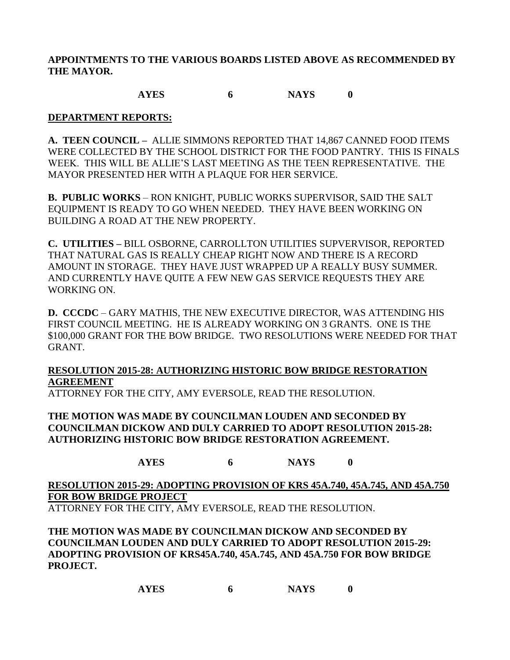**APPOINTMENTS TO THE VARIOUS BOARDS LISTED ABOVE AS RECOMMENDED BY THE MAYOR.**

# **AYES 6 NAYS 0**

## **DEPARTMENT REPORTS:**

**A. TEEN COUNCIL –** ALLIE SIMMONS REPORTED THAT 14,867 CANNED FOOD ITEMS WERE COLLECTED BY THE SCHOOL DISTRICT FOR THE FOOD PANTRY. THIS IS FINALS WEEK. THIS WILL BE ALLIE'S LAST MEETING AS THE TEEN REPRESENTATIVE. THE MAYOR PRESENTED HER WITH A PLAQUE FOR HER SERVICE.

**B. PUBLIC WORKS** – RON KNIGHT, PUBLIC WORKS SUPERVISOR, SAID THE SALT EQUIPMENT IS READY TO GO WHEN NEEDED. THEY HAVE BEEN WORKING ON BUILDING A ROAD AT THE NEW PROPERTY.

**C. UTILITIES –** BILL OSBORNE, CARROLLTON UTILITIES SUPVERVISOR, REPORTED THAT NATURAL GAS IS REALLY CHEAP RIGHT NOW AND THERE IS A RECORD AMOUNT IN STORAGE. THEY HAVE JUST WRAPPED UP A REALLY BUSY SUMMER. AND CURRENTLY HAVE QUITE A FEW NEW GAS SERVICE REQUESTS THEY ARE WORKING ON.

**D. CCCDC** – GARY MATHIS, THE NEW EXECUTIVE DIRECTOR, WAS ATTENDING HIS FIRST COUNCIL MEETING. HE IS ALREADY WORKING ON 3 GRANTS. ONE IS THE \$100,000 GRANT FOR THE BOW BRIDGE. TWO RESOLUTIONS WERE NEEDED FOR THAT GRANT.

# **RESOLUTION 2015-28: AUTHORIZING HISTORIC BOW BRIDGE RESTORATION AGREEMENT**

ATTORNEY FOR THE CITY, AMY EVERSOLE, READ THE RESOLUTION.

**THE MOTION WAS MADE BY COUNCILMAN LOUDEN AND SECONDED BY COUNCILMAN DICKOW AND DULY CARRIED TO ADOPT RESOLUTION 2015-28: AUTHORIZING HISTORIC BOW BRIDGE RESTORATION AGREEMENT.**

**AYES 6 NAYS 0**

**RESOLUTION 2015-29: ADOPTING PROVISION OF KRS 45A.740, 45A.745, AND 45A.750 FOR BOW BRIDGE PROJECT**

ATTORNEY FOR THE CITY, AMY EVERSOLE, READ THE RESOLUTION.

**THE MOTION WAS MADE BY COUNCILMAN DICKOW AND SECONDED BY COUNCILMAN LOUDEN AND DULY CARRIED TO ADOPT RESOLUTION 2015-29: ADOPTING PROVISION OF KRS45A.740, 45A.745, AND 45A.750 FOR BOW BRIDGE PROJECT.**

**AYES 6 NAYS 0**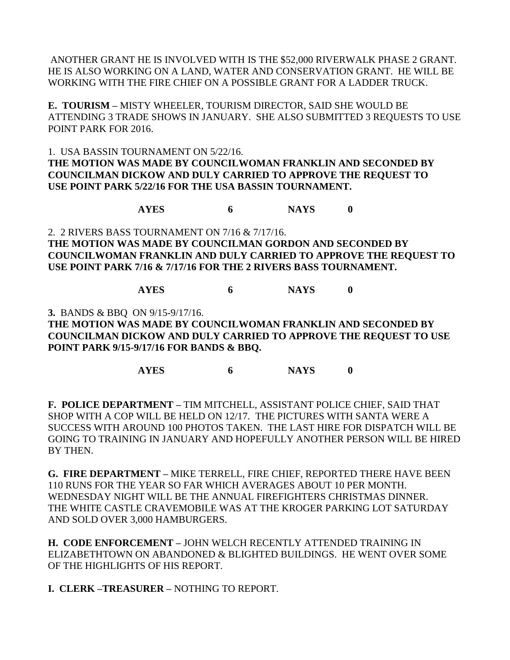ANOTHER GRANT HE IS INVOLVED WITH IS THE \$52,000 RIVERWALK PHASE 2 GRANT. HE IS ALSO WORKING ON A LAND, WATER AND CONSERVATION GRANT. HE WILL BE WORKING WITH THE FIRE CHIEF ON A POSSIBLE GRANT FOR A LADDER TRUCK.

**E. TOURISM –** MISTY WHEELER, TOURISM DIRECTOR, SAID SHE WOULD BE ATTENDING 3 TRADE SHOWS IN JANUARY. SHE ALSO SUBMITTED 3 REQUESTS TO USE POINT PARK FOR 2016.

1. USA BASSIN TOURNAMENT ON 5/22/16. **THE MOTION WAS MADE BY COUNCILWOMAN FRANKLIN AND SECONDED BY COUNCILMAN DICKOW AND DULY CARRIED TO APPROVE THE REQUEST TO USE POINT PARK 5/22/16 FOR THE USA BASSIN TOURNAMENT.**

**AYES 6 NAYS 0**

2. 2 RIVERS BASS TOURNAMENT ON 7/16 & 7/17/16. **THE MOTION WAS MADE BY COUNCILMAN GORDON AND SECONDED BY COUNCILWOMAN FRANKLIN AND DULY CARRIED TO APPROVE THE REQUEST TO USE POINT PARK 7/16 & 7/17/16 FOR THE 2 RIVERS BASS TOURNAMENT.**

**AYES 6 NAYS 0**

**3.** BANDS & BBQ ON 9/15-9/17/16.

**THE MOTION WAS MADE BY COUNCILWOMAN FRANKLIN AND SECONDED BY COUNCILMAN DICKOW AND DULY CARRIED TO APPROVE THE REQUEST TO USE POINT PARK 9/15-9/17/16 FOR BANDS & BBQ.**

**AYES 6 NAYS 0**

**F. POLICE DEPARTMENT –** TIM MITCHELL, ASSISTANT POLICE CHIEF, SAID THAT SHOP WITH A COP WILL BE HELD ON 12/17. THE PICTURES WITH SANTA WERE A SUCCESS WITH AROUND 100 PHOTOS TAKEN. THE LAST HIRE FOR DISPATCH WILL BE GOING TO TRAINING IN JANUARY AND HOPEFULLY ANOTHER PERSON WILL BE HIRED BY THEN.

**G. FIRE DEPARTMENT –** MIKE TERRELL, FIRE CHIEF, REPORTED THERE HAVE BEEN 110 RUNS FOR THE YEAR SO FAR WHICH AVERAGES ABOUT 10 PER MONTH. WEDNESDAY NIGHT WILL BE THE ANNUAL FIREFIGHTERS CHRISTMAS DINNER. THE WHITE CASTLE CRAVEMOBILE WAS AT THE KROGER PARKING LOT SATURDAY AND SOLD OVER 3,000 HAMBURGERS.

**H. CODE ENFORCEMENT –** JOHN WELCH RECENTLY ATTENDED TRAINING IN ELIZABETHTOWN ON ABANDONED & BLIGHTED BUILDINGS. HE WENT OVER SOME OF THE HIGHLIGHTS OF HIS REPORT.

**I. CLERK –TREASURER –** NOTHING TO REPORT.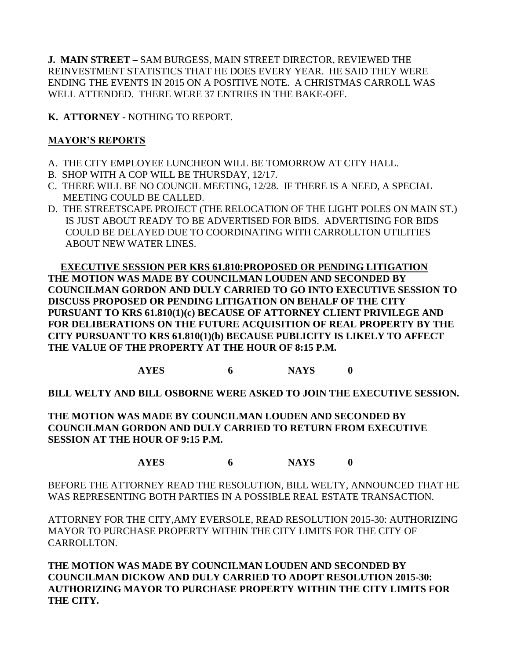**J. MAIN STREET –** SAM BURGESS, MAIN STREET DIRECTOR, REVIEWED THE REINVESTMENT STATISTICS THAT HE DOES EVERY YEAR. HE SAID THEY WERE ENDING THE EVENTS IN 2015 ON A POSITIVE NOTE. A CHRISTMAS CARROLL WAS WELL ATTENDED. THERE WERE 37 ENTRIES IN THE BAKE-OFF.

**K. ATTORNEY -** NOTHING TO REPORT.

# **MAYOR'S REPORTS**

- A. THE CITY EMPLOYEE LUNCHEON WILL BE TOMORROW AT CITY HALL.
- B. SHOP WITH A COP WILL BE THURSDAY, 12/17.
- C. THERE WILL BE NO COUNCIL MEETING, 12/28. IF THERE IS A NEED, A SPECIAL MEETING COULD BE CALLED.
- D. THE STREETSCAPE PROJECT (THE RELOCATION OF THE LIGHT POLES ON MAIN ST.) IS JUST ABOUT READY TO BE ADVERTISED FOR BIDS. ADVERTISING FOR BIDS COULD BE DELAYED DUE TO COORDINATING WITH CARROLLTON UTILITIES ABOUT NEW WATER LINES.

 **EXECUTIVE SESSION PER KRS 61.810:PROPOSED OR PENDING LITIGATION THE MOTION WAS MADE BY COUNCILMAN LOUDEN AND SECONDED BY COUNCILMAN GORDON AND DULY CARRIED TO GO INTO EXECUTIVE SESSION TO DISCUSS PROPOSED OR PENDING LITIGATION ON BEHALF OF THE CITY PURSUANT TO KRS 61.810(1)(c) BECAUSE OF ATTORNEY CLIENT PRIVILEGE AND FOR DELIBERATIONS ON THE FUTURE ACQUISITION OF REAL PROPERTY BY THE CITY PURSUANT TO KRS 61.810(1)(b) BECAUSE PUBLICITY IS LIKELY TO AFFECT THE VALUE OF THE PROPERTY AT THE HOUR OF 8:15 P.M.**

**AYES 6 NAYS 0**

**BILL WELTY AND BILL OSBORNE WERE ASKED TO JOIN THE EXECUTIVE SESSION.**

**THE MOTION WAS MADE BY COUNCILMAN LOUDEN AND SECONDED BY COUNCILMAN GORDON AND DULY CARRIED TO RETURN FROM EXECUTIVE SESSION AT THE HOUR OF 9:15 P.M.**

**AYES 6 NAYS 0**

BEFORE THE ATTORNEY READ THE RESOLUTION, BILL WELTY, ANNOUNCED THAT HE WAS REPRESENTING BOTH PARTIES IN A POSSIBLE REAL ESTATE TRANSACTION.

ATTORNEY FOR THE CITY,AMY EVERSOLE, READ RESOLUTION 2015-30: AUTHORIZING MAYOR TO PURCHASE PROPERTY WITHIN THE CITY LIMITS FOR THE CITY OF CARROLLTON.

**THE MOTION WAS MADE BY COUNCILMAN LOUDEN AND SECONDED BY COUNCILMAN DICKOW AND DULY CARRIED TO ADOPT RESOLUTION 2015-30: AUTHORIZING MAYOR TO PURCHASE PROPERTY WITHIN THE CITY LIMITS FOR THE CITY.**